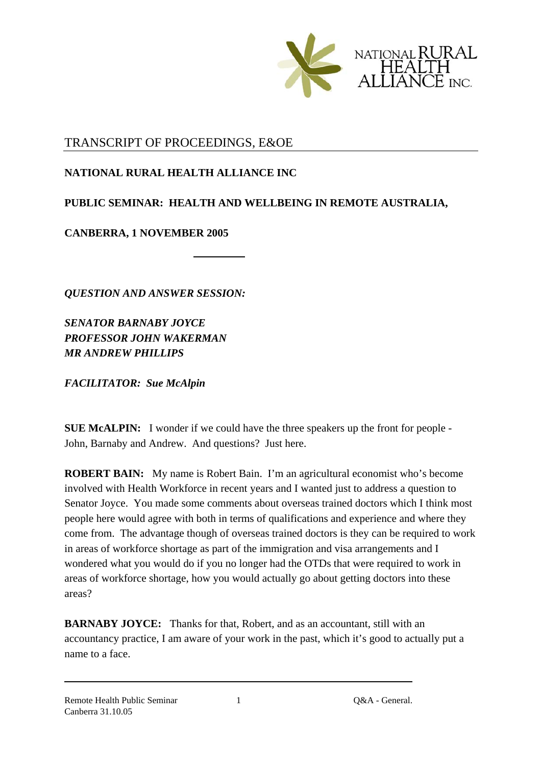

## TRANSCRIPT OF PROCEEDINGS, E&OE

**NATIONAL RURAL HEALTH ALLIANCE INC** 

## **PUBLIC SEMINAR: HEALTH AND WELLBEING IN REMOTE AUSTRALIA,**

**CANBERRA, 1 NOVEMBER 2005** 

*QUESTION AND ANSWER SESSION:* 

*SENATOR BARNABY JOYCE PROFESSOR JOHN WAKERMAN MR ANDREW PHILLIPS* 

*FACILITATOR: Sue McAlpin*

**SUE McALPIN:** I wonder if we could have the three speakers up the front for people - John, Barnaby and Andrew. And questions? Just here.

**ROBERT BAIN:** My name is Robert Bain. I'm an agricultural economist who's become involved with Health Workforce in recent years and I wanted just to address a question to Senator Joyce. You made some comments about overseas trained doctors which I think most people here would agree with both in terms of qualifications and experience and where they come from. The advantage though of overseas trained doctors is they can be required to work in areas of workforce shortage as part of the immigration and visa arrangements and I wondered what you would do if you no longer had the OTDs that were required to work in areas of workforce shortage, how you would actually go about getting doctors into these areas?

**BARNABY JOYCE:** Thanks for that, Robert, and as an accountant, still with an accountancy practice, I am aware of your work in the past, which it's good to actually put a name to a face.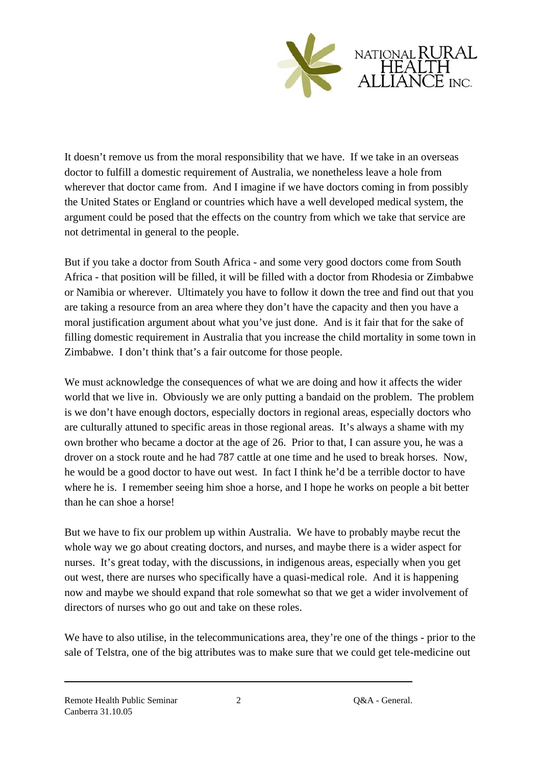

It doesn't remove us from the moral responsibility that we have. If we take in an overseas doctor to fulfill a domestic requirement of Australia, we nonetheless leave a hole from wherever that doctor came from. And I imagine if we have doctors coming in from possibly the United States or England or countries which have a well developed medical system, the argument could be posed that the effects on the country from which we take that service are not detrimental in general to the people.

But if you take a doctor from South Africa - and some very good doctors come from South Africa - that position will be filled, it will be filled with a doctor from Rhodesia or Zimbabwe or Namibia or wherever. Ultimately you have to follow it down the tree and find out that you are taking a resource from an area where they don't have the capacity and then you have a moral justification argument about what you've just done. And is it fair that for the sake of filling domestic requirement in Australia that you increase the child mortality in some town in Zimbabwe. I don't think that's a fair outcome for those people.

We must acknowledge the consequences of what we are doing and how it affects the wider world that we live in. Obviously we are only putting a bandaid on the problem. The problem is we don't have enough doctors, especially doctors in regional areas, especially doctors who are culturally attuned to specific areas in those regional areas. It's always a shame with my own brother who became a doctor at the age of 26. Prior to that, I can assure you, he was a drover on a stock route and he had 787 cattle at one time and he used to break horses. Now, he would be a good doctor to have out west. In fact I think he'd be a terrible doctor to have where he is. I remember seeing him shoe a horse, and I hope he works on people a bit better than he can shoe a horse!

But we have to fix our problem up within Australia. We have to probably maybe recut the whole way we go about creating doctors, and nurses, and maybe there is a wider aspect for nurses. It's great today, with the discussions, in indigenous areas, especially when you get out west, there are nurses who specifically have a quasi-medical role. And it is happening now and maybe we should expand that role somewhat so that we get a wider involvement of directors of nurses who go out and take on these roles.

We have to also utilise, in the telecommunications area, they're one of the things - prior to the sale of Telstra, one of the big attributes was to make sure that we could get tele-medicine out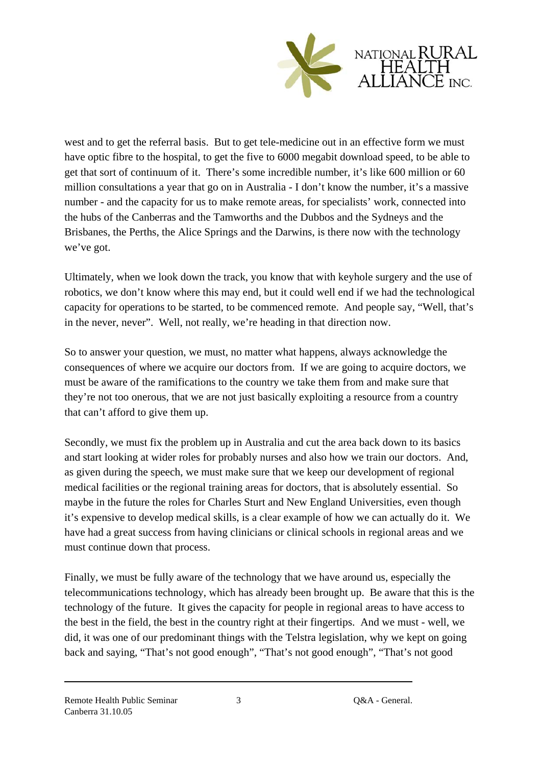

west and to get the referral basis. But to get tele-medicine out in an effective form we must have optic fibre to the hospital, to get the five to 6000 megabit download speed, to be able to get that sort of continuum of it. There's some incredible number, it's like 600 million or 60 million consultations a year that go on in Australia - I don't know the number, it's a massive number - and the capacity for us to make remote areas, for specialists' work, connected into the hubs of the Canberras and the Tamworths and the Dubbos and the Sydneys and the Brisbanes, the Perths, the Alice Springs and the Darwins, is there now with the technology we've got.

Ultimately, when we look down the track, you know that with keyhole surgery and the use of robotics, we don't know where this may end, but it could well end if we had the technological capacity for operations to be started, to be commenced remote. And people say, "Well, that's in the never, never". Well, not really, we're heading in that direction now.

So to answer your question, we must, no matter what happens, always acknowledge the consequences of where we acquire our doctors from. If we are going to acquire doctors, we must be aware of the ramifications to the country we take them from and make sure that they're not too onerous, that we are not just basically exploiting a resource from a country that can't afford to give them up.

Secondly, we must fix the problem up in Australia and cut the area back down to its basics and start looking at wider roles for probably nurses and also how we train our doctors. And, as given during the speech, we must make sure that we keep our development of regional medical facilities or the regional training areas for doctors, that is absolutely essential. So maybe in the future the roles for Charles Sturt and New England Universities, even though it's expensive to develop medical skills, is a clear example of how we can actually do it. We have had a great success from having clinicians or clinical schools in regional areas and we must continue down that process.

Finally, we must be fully aware of the technology that we have around us, especially the telecommunications technology, which has already been brought up. Be aware that this is the technology of the future. It gives the capacity for people in regional areas to have access to the best in the field, the best in the country right at their fingertips. And we must - well, we did, it was one of our predominant things with the Telstra legislation, why we kept on going back and saying, "That's not good enough", "That's not good enough", "That's not good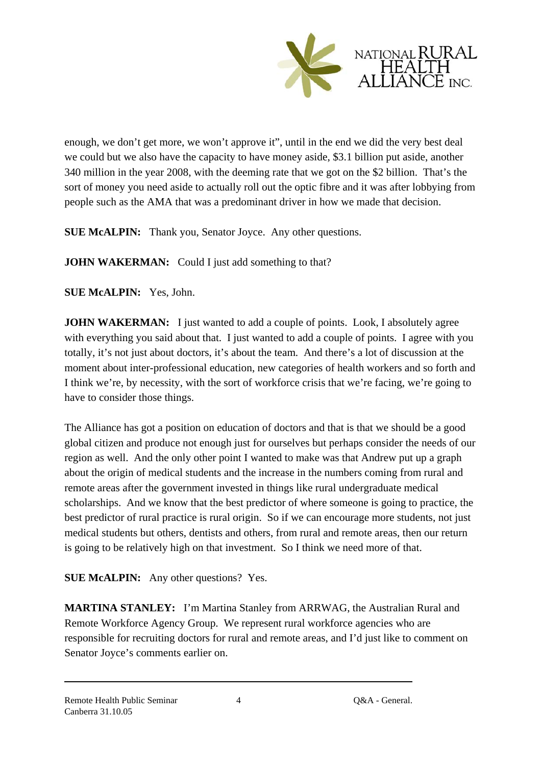

enough, we don't get more, we won't approve it", until in the end we did the very best deal we could but we also have the capacity to have money aside, \$3.1 billion put aside, another 340 million in the year 2008, with the deeming rate that we got on the \$2 billion. That's the sort of money you need aside to actually roll out the optic fibre and it was after lobbying from people such as the AMA that was a predominant driver in how we made that decision.

**SUE McALPIN:** Thank you, Senator Joyce. Any other questions.

**JOHN WAKERMAN:** Could I just add something to that?

**SUE McALPIN:** Yes, John.

**JOHN WAKERMAN:** I just wanted to add a couple of points. Look, I absolutely agree with everything you said about that. I just wanted to add a couple of points. I agree with you totally, it's not just about doctors, it's about the team. And there's a lot of discussion at the moment about inter-professional education, new categories of health workers and so forth and I think we're, by necessity, with the sort of workforce crisis that we're facing, we're going to have to consider those things.

The Alliance has got a position on education of doctors and that is that we should be a good global citizen and produce not enough just for ourselves but perhaps consider the needs of our region as well. And the only other point I wanted to make was that Andrew put up a graph about the origin of medical students and the increase in the numbers coming from rural and remote areas after the government invested in things like rural undergraduate medical scholarships. And we know that the best predictor of where someone is going to practice, the best predictor of rural practice is rural origin. So if we can encourage more students, not just medical students but others, dentists and others, from rural and remote areas, then our return is going to be relatively high on that investment. So I think we need more of that.

**SUE McALPIN:** Any other questions? Yes.

**MARTINA STANLEY:** I'm Martina Stanley from ARRWAG, the Australian Rural and Remote Workforce Agency Group. We represent rural workforce agencies who are responsible for recruiting doctors for rural and remote areas, and I'd just like to comment on Senator Joyce's comments earlier on.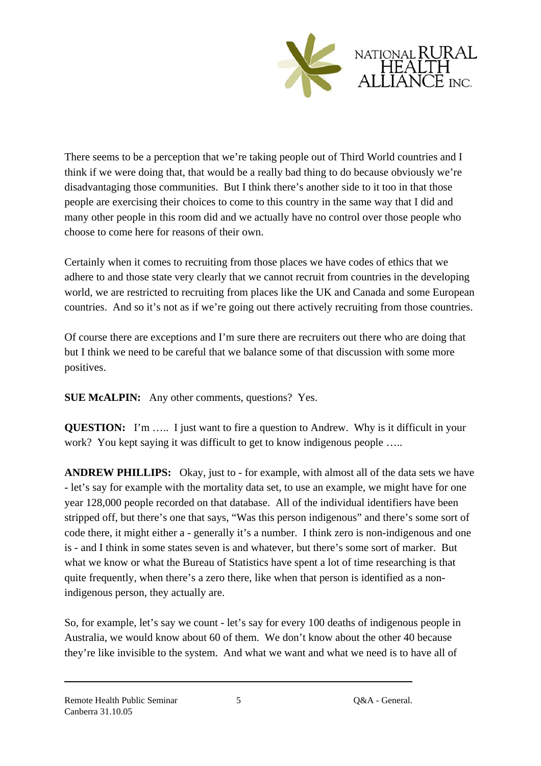

There seems to be a perception that we're taking people out of Third World countries and I think if we were doing that, that would be a really bad thing to do because obviously we're disadvantaging those communities. But I think there's another side to it too in that those people are exercising their choices to come to this country in the same way that I did and many other people in this room did and we actually have no control over those people who choose to come here for reasons of their own.

Certainly when it comes to recruiting from those places we have codes of ethics that we adhere to and those state very clearly that we cannot recruit from countries in the developing world, we are restricted to recruiting from places like the UK and Canada and some European countries. And so it's not as if we're going out there actively recruiting from those countries.

Of course there are exceptions and I'm sure there are recruiters out there who are doing that but I think we need to be careful that we balance some of that discussion with some more positives.

**SUE McALPIN:** Any other comments, questions? Yes.

**QUESTION:** I'm ..... I just want to fire a question to Andrew. Why is it difficult in your work? You kept saying it was difficult to get to know indigenous people .....

**ANDREW PHILLIPS:** Okay, just to - for example, with almost all of the data sets we have - let's say for example with the mortality data set, to use an example, we might have for one year 128,000 people recorded on that database. All of the individual identifiers have been stripped off, but there's one that says, "Was this person indigenous" and there's some sort of code there, it might either a - generally it's a number. I think zero is non-indigenous and one is - and I think in some states seven is and whatever, but there's some sort of marker. But what we know or what the Bureau of Statistics have spent a lot of time researching is that quite frequently, when there's a zero there, like when that person is identified as a nonindigenous person, they actually are.

So, for example, let's say we count - let's say for every 100 deaths of indigenous people in Australia, we would know about 60 of them. We don't know about the other 40 because they're like invisible to the system. And what we want and what we need is to have all of